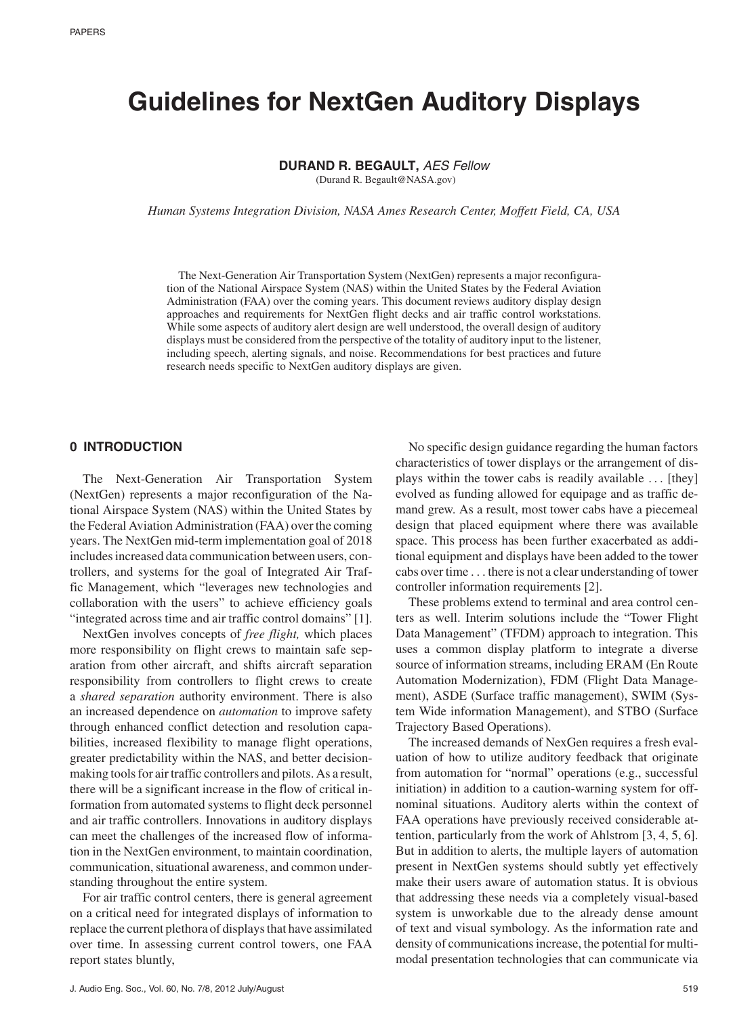# **Guidelines for NextGen Auditory Displays**

#### **DURAND R. BEGAULT,** AES Fellow

(Durand R. Begault@NASA.gov)

*Human Systems Integration Division, NASA Ames Research Center, Moffett Field, CA, USA*

The Next-Generation Air Transportation System (NextGen) represents a major reconfiguration of the National Airspace System (NAS) within the United States by the Federal Aviation Administration (FAA) over the coming years. This document reviews auditory display design approaches and requirements for NextGen flight decks and air traffic control workstations. While some aspects of auditory alert design are well understood, the overall design of auditory displays must be considered from the perspective of the totality of auditory input to the listener, including speech, alerting signals, and noise. Recommendations for best practices and future research needs specific to NextGen auditory displays are given.

## **0 INTRODUCTION**

The Next-Generation Air Transportation System (NextGen) represents a major reconfiguration of the National Airspace System (NAS) within the United States by the Federal Aviation Administration (FAA) over the coming years. The NextGen mid-term implementation goal of 2018 includes increased data communication between users, controllers, and systems for the goal of Integrated Air Traffic Management, which "leverages new technologies and collaboration with the users" to achieve efficiency goals "integrated across time and air traffic control domains" [1].

NextGen involves concepts of *free flight,* which places more responsibility on flight crews to maintain safe separation from other aircraft, and shifts aircraft separation responsibility from controllers to flight crews to create a *shared separation* authority environment. There is also an increased dependence on *automation* to improve safety through enhanced conflict detection and resolution capabilities, increased flexibility to manage flight operations, greater predictability within the NAS, and better decisionmaking tools for air traffic controllers and pilots. As a result, there will be a significant increase in the flow of critical information from automated systems to flight deck personnel and air traffic controllers. Innovations in auditory displays can meet the challenges of the increased flow of information in the NextGen environment, to maintain coordination, communication, situational awareness, and common understanding throughout the entire system.

For air traffic control centers, there is general agreement on a critical need for integrated displays of information to replace the current plethora of displays that have assimilated over time. In assessing current control towers, one FAA report states bluntly,

No specific design guidance regarding the human factors characteristics of tower displays or the arrangement of displays within the tower cabs is readily available ... [they] evolved as funding allowed for equipage and as traffic demand grew. As a result, most tower cabs have a piecemeal design that placed equipment where there was available space. This process has been further exacerbated as additional equipment and displays have been added to the tower cabs over time ... there is not a clear understanding of tower controller information requirements [2].

These problems extend to terminal and area control centers as well. Interim solutions include the "Tower Flight Data Management" (TFDM) approach to integration. This uses a common display platform to integrate a diverse source of information streams, including ERAM (En Route Automation Modernization), FDM (Flight Data Management), ASDE (Surface traffic management), SWIM (System Wide information Management), and STBO (Surface Trajectory Based Operations).

The increased demands of NexGen requires a fresh evaluation of how to utilize auditory feedback that originate from automation for "normal" operations (e.g., successful initiation) in addition to a caution-warning system for offnominal situations. Auditory alerts within the context of FAA operations have previously received considerable attention, particularly from the work of Ahlstrom [3, 4, 5, 6]. But in addition to alerts, the multiple layers of automation present in NextGen systems should subtly yet effectively make their users aware of automation status. It is obvious that addressing these needs via a completely visual-based system is unworkable due to the already dense amount of text and visual symbology. As the information rate and density of communications increase, the potential for multimodal presentation technologies that can communicate via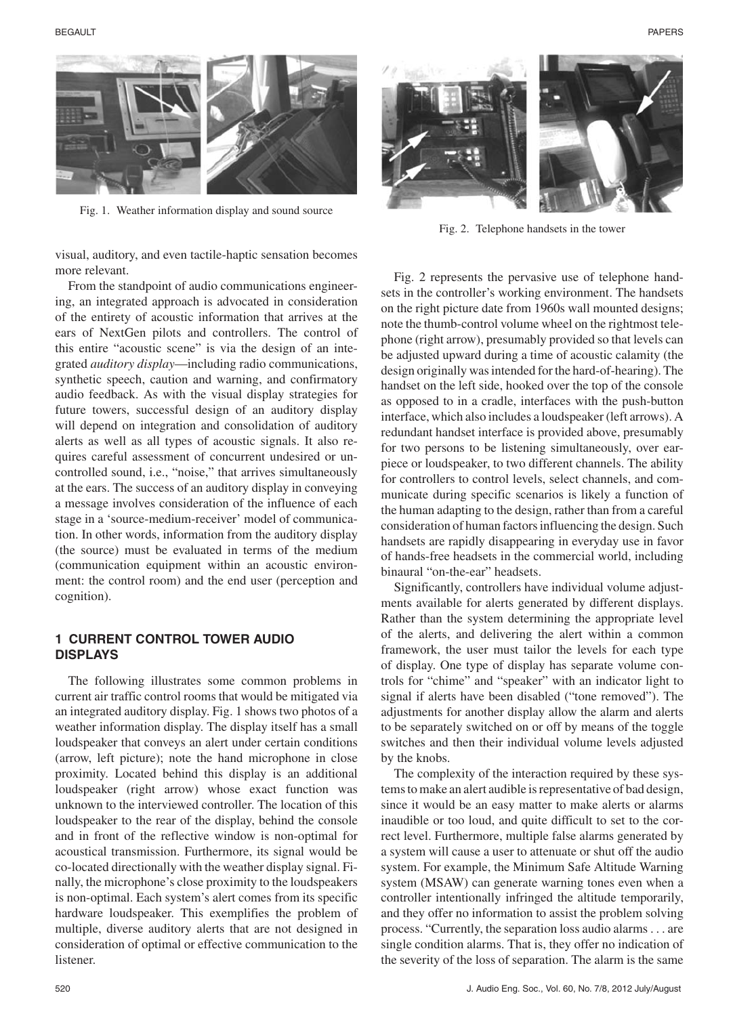BEGAULT PAPERS



Fig. 1. Weather information display and sound source

visual, auditory, and even tactile-haptic sensation becomes more relevant.

From the standpoint of audio communications engineering, an integrated approach is advocated in consideration of the entirety of acoustic information that arrives at the ears of NextGen pilots and controllers. The control of this entire "acoustic scene" is via the design of an integrated *auditory display*—including radio communications, synthetic speech, caution and warning, and confirmatory audio feedback. As with the visual display strategies for future towers, successful design of an auditory display will depend on integration and consolidation of auditory alerts as well as all types of acoustic signals. It also requires careful assessment of concurrent undesired or uncontrolled sound, i.e., "noise," that arrives simultaneously at the ears. The success of an auditory display in conveying a message involves consideration of the influence of each stage in a 'source-medium-receiver' model of communication. In other words, information from the auditory display (the source) must be evaluated in terms of the medium (communication equipment within an acoustic environment: the control room) and the end user (perception and cognition).

# **1 CURRENT CONTROL TOWER AUDIO DISPLAYS**

The following illustrates some common problems in current air traffic control rooms that would be mitigated via an integrated auditory display. Fig. 1 shows two photos of a weather information display. The display itself has a small loudspeaker that conveys an alert under certain conditions (arrow, left picture); note the hand microphone in close proximity. Located behind this display is an additional loudspeaker (right arrow) whose exact function was unknown to the interviewed controller. The location of this loudspeaker to the rear of the display, behind the console and in front of the reflective window is non-optimal for acoustical transmission. Furthermore, its signal would be co-located directionally with the weather display signal. Finally, the microphone's close proximity to the loudspeakers is non-optimal. Each system's alert comes from its specific hardware loudspeaker. This exemplifies the problem of multiple, diverse auditory alerts that are not designed in consideration of optimal or effective communication to the listener.



Fig. 2. Telephone handsets in the tower

Fig. 2 represents the pervasive use of telephone handsets in the controller's working environment. The handsets on the right picture date from 1960s wall mounted designs; note the thumb-control volume wheel on the rightmost telephone (right arrow), presumably provided so that levels can be adjusted upward during a time of acoustic calamity (the design originally was intended for the hard-of-hearing). The handset on the left side, hooked over the top of the console as opposed to in a cradle, interfaces with the push-button interface, which also includes a loudspeaker (left arrows). A redundant handset interface is provided above, presumably for two persons to be listening simultaneously, over earpiece or loudspeaker, to two different channels. The ability for controllers to control levels, select channels, and communicate during specific scenarios is likely a function of the human adapting to the design, rather than from a careful consideration of human factors influencing the design. Such handsets are rapidly disappearing in everyday use in favor of hands-free headsets in the commercial world, including binaural "on-the-ear" headsets.

Significantly, controllers have individual volume adjustments available for alerts generated by different displays. Rather than the system determining the appropriate level of the alerts, and delivering the alert within a common framework, the user must tailor the levels for each type of display. One type of display has separate volume controls for "chime" and "speaker" with an indicator light to signal if alerts have been disabled ("tone removed"). The adjustments for another display allow the alarm and alerts to be separately switched on or off by means of the toggle switches and then their individual volume levels adjusted by the knobs.

The complexity of the interaction required by these systems to make an alert audible is representative of bad design, since it would be an easy matter to make alerts or alarms inaudible or too loud, and quite difficult to set to the correct level. Furthermore, multiple false alarms generated by a system will cause a user to attenuate or shut off the audio system. For example, the Minimum Safe Altitude Warning system (MSAW) can generate warning tones even when a controller intentionally infringed the altitude temporarily, and they offer no information to assist the problem solving process. "Currently, the separation loss audio alarms... are single condition alarms. That is, they offer no indication of the severity of the loss of separation. The alarm is the same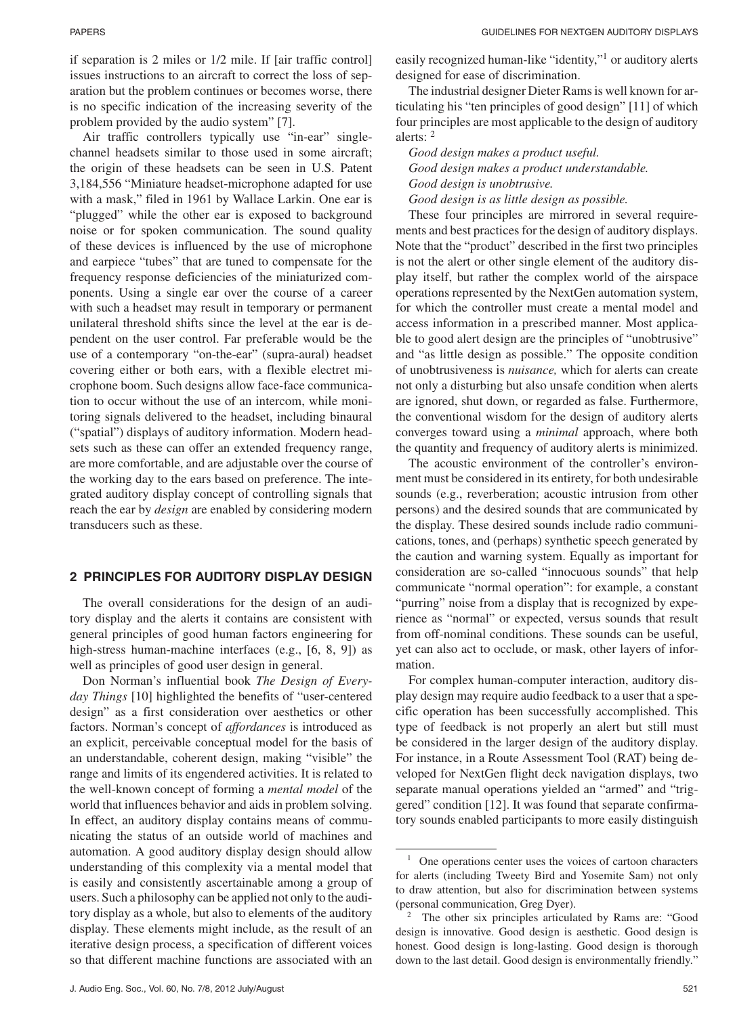if separation is 2 miles or 1/2 mile. If [air traffic control] issues instructions to an aircraft to correct the loss of separation but the problem continues or becomes worse, there is no specific indication of the increasing severity of the problem provided by the audio system" [7].

Air traffic controllers typically use "in-ear" singlechannel headsets similar to those used in some aircraft; the origin of these headsets can be seen in U.S. Patent 3,184,556 "Miniature headset-microphone adapted for use with a mask," filed in 1961 by Wallace Larkin. One ear is "plugged" while the other ear is exposed to background noise or for spoken communication. The sound quality of these devices is influenced by the use of microphone and earpiece "tubes" that are tuned to compensate for the frequency response deficiencies of the miniaturized components. Using a single ear over the course of a career with such a headset may result in temporary or permanent unilateral threshold shifts since the level at the ear is dependent on the user control. Far preferable would be the use of a contemporary "on-the-ear" (supra-aural) headset covering either or both ears, with a flexible electret microphone boom. Such designs allow face-face communication to occur without the use of an intercom, while monitoring signals delivered to the headset, including binaural ("spatial") displays of auditory information. Modern headsets such as these can offer an extended frequency range, are more comfortable, and are adjustable over the course of the working day to the ears based on preference. The integrated auditory display concept of controlling signals that reach the ear by *design* are enabled by considering modern transducers such as these.

## **2 PRINCIPLES FOR AUDITORY DISPLAY DESIGN**

The overall considerations for the design of an auditory display and the alerts it contains are consistent with general principles of good human factors engineering for high-stress human-machine interfaces (e.g., [6, 8, 9]) as well as principles of good user design in general.

Don Norman's influential book *The Design of Everyday Things* [10] highlighted the benefits of "user-centered design" as a first consideration over aesthetics or other factors. Norman's concept of *affordances* is introduced as an explicit, perceivable conceptual model for the basis of an understandable, coherent design, making "visible" the range and limits of its engendered activities. It is related to the well-known concept of forming a *mental model* of the world that influences behavior and aids in problem solving. In effect, an auditory display contains means of communicating the status of an outside world of machines and automation. A good auditory display design should allow understanding of this complexity via a mental model that is easily and consistently ascertainable among a group of users. Such a philosophy can be applied not only to the auditory display as a whole, but also to elements of the auditory display. These elements might include, as the result of an iterative design process, a specification of different voices so that different machine functions are associated with an

easily recognized human-like "identity,"<sup>1</sup> or auditory alerts designed for ease of discrimination.

The industrial designer Dieter Rams is well known for articulating his "ten principles of good design" [11] of which four principles are most applicable to the design of auditory alerts: <sup>2</sup>

*Good design makes a product useful. Good design makes a product understandable. Good design is unobtrusive. Good design is as little design as possible.*

These four principles are mirrored in several requirements and best practices for the design of auditory displays. Note that the "product" described in the first two principles is not the alert or other single element of the auditory display itself, but rather the complex world of the airspace operations represented by the NextGen automation system, for which the controller must create a mental model and access information in a prescribed manner. Most applicable to good alert design are the principles of "unobtrusive" and "as little design as possible." The opposite condition of unobtrusiveness is *nuisance,* which for alerts can create not only a disturbing but also unsafe condition when alerts are ignored, shut down, or regarded as false. Furthermore, the conventional wisdom for the design of auditory alerts converges toward using a *minimal* approach, where both the quantity and frequency of auditory alerts is minimized.

The acoustic environment of the controller's environment must be considered in its entirety, for both undesirable sounds (e.g., reverberation; acoustic intrusion from other persons) and the desired sounds that are communicated by the display. These desired sounds include radio communications, tones, and (perhaps) synthetic speech generated by the caution and warning system. Equally as important for consideration are so-called "innocuous sounds" that help communicate "normal operation": for example, a constant "purring" noise from a display that is recognized by experience as "normal" or expected, versus sounds that result from off-nominal conditions. These sounds can be useful, yet can also act to occlude, or mask, other layers of information.

For complex human-computer interaction, auditory display design may require audio feedback to a user that a specific operation has been successfully accomplished. This type of feedback is not properly an alert but still must be considered in the larger design of the auditory display. For instance, in a Route Assessment Tool (RAT) being developed for NextGen flight deck navigation displays, two separate manual operations yielded an "armed" and "triggered" condition [12]. It was found that separate confirmatory sounds enabled participants to more easily distinguish

<sup>&</sup>lt;sup>1</sup> One operations center uses the voices of cartoon characters for alerts (including Tweety Bird and Yosemite Sam) not only to draw attention, but also for discrimination between systems (personal communication, Greg Dyer).

The other six principles articulated by Rams are: "Good design is innovative. Good design is aesthetic. Good design is honest. Good design is long-lasting. Good design is thorough down to the last detail. Good design is environmentally friendly."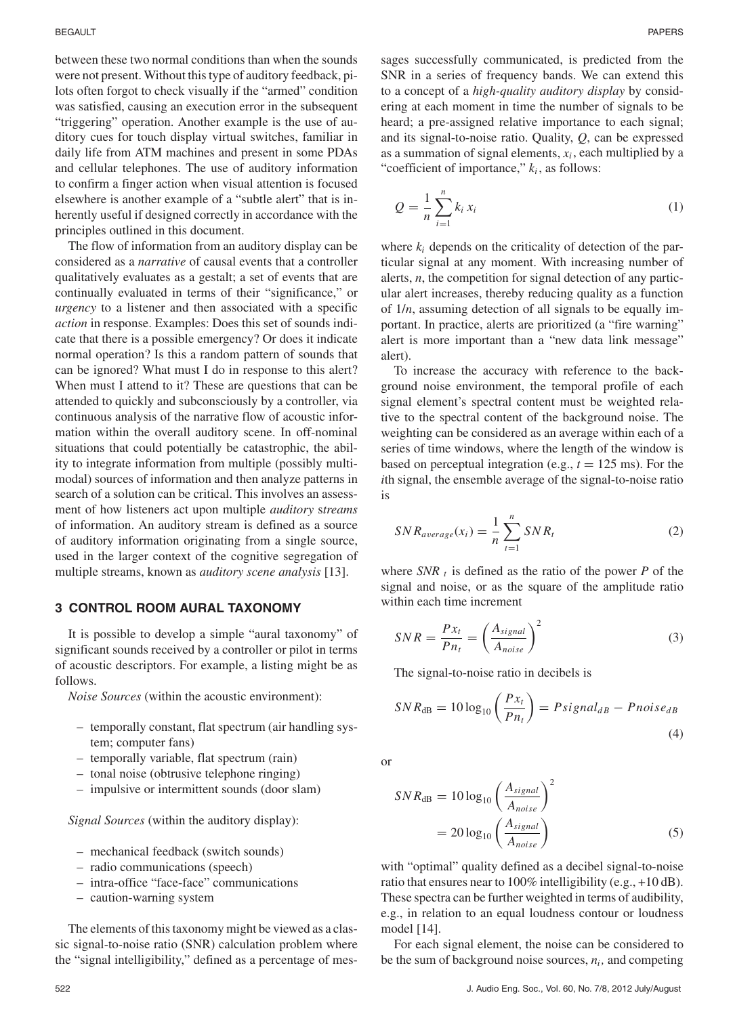between these two normal conditions than when the sounds were not present. Without this type of auditory feedback, pilots often forgot to check visually if the "armed" condition was satisfied, causing an execution error in the subsequent "triggering" operation. Another example is the use of auditory cues for touch display virtual switches, familiar in daily life from ATM machines and present in some PDAs and cellular telephones. The use of auditory information to confirm a finger action when visual attention is focused elsewhere is another example of a "subtle alert" that is inherently useful if designed correctly in accordance with the principles outlined in this document.

The flow of information from an auditory display can be considered as a *narrative* of causal events that a controller qualitatively evaluates as a gestalt; a set of events that are continually evaluated in terms of their "significance," or *urgency* to a listener and then associated with a specific *action* in response. Examples: Does this set of sounds indicate that there is a possible emergency? Or does it indicate normal operation? Is this a random pattern of sounds that can be ignored? What must I do in response to this alert? When must I attend to it? These are questions that can be attended to quickly and subconsciously by a controller, via continuous analysis of the narrative flow of acoustic information within the overall auditory scene. In off-nominal situations that could potentially be catastrophic, the ability to integrate information from multiple (possibly multimodal) sources of information and then analyze patterns in search of a solution can be critical. This involves an assessment of how listeners act upon multiple *auditory* s*treams* of information. An auditory stream is defined as a source of auditory information originating from a single source, used in the larger context of the cognitive segregation of multiple streams, known as *auditory scene analysis* [13].

# **3 CONTROL ROOM AURAL TAXONOMY**

It is possible to develop a simple "aural taxonomy" of significant sounds received by a controller or pilot in terms of acoustic descriptors. For example, a listing might be as follows.

*Noise Sources* (within the acoustic environment):

- temporally constant, flat spectrum (air handling system; computer fans)
- temporally variable, flat spectrum (rain)
- tonal noise (obtrusive telephone ringing)
- impulsive or intermittent sounds (door slam)

*Signal Sources* (within the auditory display):

- mechanical feedback (switch sounds)
- radio communications (speech)
- intra-office "face-face" communications
- caution-warning system

The elements of this taxonomy might be viewed as a classic signal-to-noise ratio (SNR) calculation problem where the "signal intelligibility," defined as a percentage of messages successfully communicated, is predicted from the SNR in a series of frequency bands. We can extend this to a concept of a *high-quality auditory display* by considering at each moment in time the number of signals to be heard; a pre-assigned relative importance to each signal; and its signal-to-noise ratio. Quality, *Q*, can be expressed as a summation of signal elements,  $x_i$ , each multiplied by a "coefficient of importance,"  $k_i$ , as follows:

$$
Q = \frac{1}{n} \sum_{i=1}^{n} k_i x_i
$$
 (1)

where  $k_i$  depends on the criticality of detection of the particular signal at any moment. With increasing number of alerts, *n*, the competition for signal detection of any particular alert increases, thereby reducing quality as a function of 1/*n*, assuming detection of all signals to be equally important. In practice, alerts are prioritized (a "fire warning" alert is more important than a "new data link message" alert).

To increase the accuracy with reference to the background noise environment, the temporal profile of each signal element's spectral content must be weighted relative to the spectral content of the background noise. The weighting can be considered as an average within each of a series of time windows, where the length of the window is based on perceptual integration (e.g.,  $t = 125$  ms). For the *i*th signal, the ensemble average of the signal-to-noise ratio is

$$
SNR_{average}(x_i) = \frac{1}{n} \sum_{t=1}^{n} SNR_t
$$
 (2)

where *SNR*  $<sub>t</sub>$  is defined as the ratio of the power *P* of the</sub> signal and noise, or as the square of the amplitude ratio within each time increment

$$
SNR = \frac{P x_t}{P n_t} = \left(\frac{A_{signal}}{A_{noise}}\right)^2 \tag{3}
$$

The signal-to-noise ratio in decibels is

$$
SNR_{dB} = 10 \log_{10} \left( \frac{Px_t}{Pn_t} \right) = Psignal_{dB} - Pnoise_{dB}
$$
\n(4)

or

$$
SNR_{\text{dB}} = 10 \log_{10} \left( \frac{A_{signal}}{A_{noise}} \right)^2
$$

$$
= 20 \log_{10} \left( \frac{A_{signal}}{A_{noise}} \right) \tag{5}
$$

with "optimal" quality defined as a decibel signal-to-noise ratio that ensures near to 100% intelligibility (e.g., +10 dB). These spectra can be further weighted in terms of audibility, e.g., in relation to an equal loudness contour or loudness model [14].

For each signal element, the noise can be considered to be the sum of background noise sources,  $n_i$ , and competing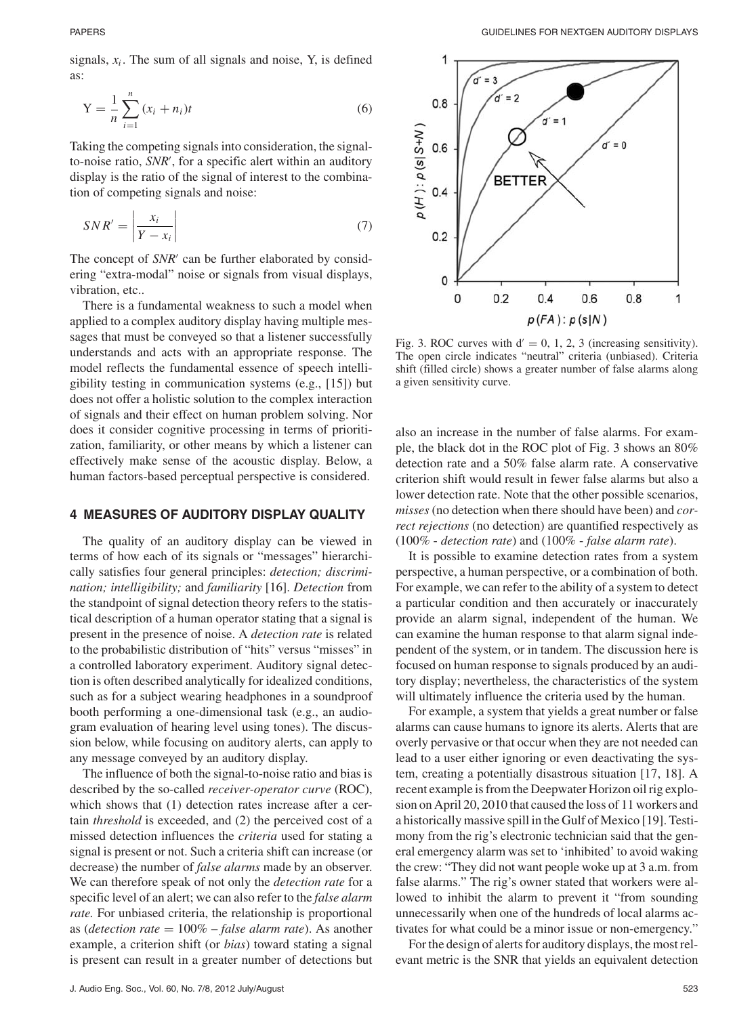signals,  $x_i$ . The sum of all signals and noise, Y, is defined as:

$$
Y = \frac{1}{n} \sum_{i=1}^{n} (x_i + n_i)t
$$
 (6)

Taking the competing signals into consideration, the signalto-noise ratio, SNR', for a specific alert within an auditory display is the ratio of the signal of interest to the combination of competing signals and noise:

$$
SNR' = \left| \frac{x_i}{Y - x_i} \right| \tag{7}
$$

The concept of *SNR'* can be further elaborated by considering "extra-modal" noise or signals from visual displays, vibration, etc..

There is a fundamental weakness to such a model when applied to a complex auditory display having multiple messages that must be conveyed so that a listener successfully understands and acts with an appropriate response. The model reflects the fundamental essence of speech intelligibility testing in communication systems (e.g., [15]) but does not offer a holistic solution to the complex interaction of signals and their effect on human problem solving. Nor does it consider cognitive processing in terms of prioritization, familiarity, or other means by which a listener can effectively make sense of the acoustic display. Below, a human factors-based perceptual perspective is considered.

## **4 MEASURES OF AUDITORY DISPLAY QUALITY**

The quality of an auditory display can be viewed in terms of how each of its signals or "messages" hierarchically satisfies four general principles: *detection; discrimination; intelligibility;* and *familiarity* [16]. *Detection* from the standpoint of signal detection theory refers to the statistical description of a human operator stating that a signal is present in the presence of noise. A *detection rate* is related to the probabilistic distribution of "hits" versus "misses" in a controlled laboratory experiment. Auditory signal detection is often described analytically for idealized conditions, such as for a subject wearing headphones in a soundproof booth performing a one-dimensional task (e.g., an audiogram evaluation of hearing level using tones). The discussion below, while focusing on auditory alerts, can apply to any message conveyed by an auditory display.

The influence of both the signal-to-noise ratio and bias is described by the so-called *receiver-operator curve* (ROC), which shows that (1) detection rates increase after a certain *threshold* is exceeded, and (2) the perceived cost of a missed detection influences the *criteria* used for stating a signal is present or not. Such a criteria shift can increase (or decrease) the number of *false alarms* made by an observer. We can therefore speak of not only the *detection rate* for a specific level of an alert; we can also refer to the *false alarm rate.* For unbiased criteria, the relationship is proportional as (*detection rate* = 100% – *false alarm rate*). As another example, a criterion shift (or *bias*) toward stating a signal is present can result in a greater number of detections but



Fig. 3. ROC curves with  $d' = 0, 1, 2, 3$  (increasing sensitivity). The open circle indicates "neutral" criteria (unbiased). Criteria shift (filled circle) shows a greater number of false alarms along a given sensitivity curve.

also an increase in the number of false alarms. For example, the black dot in the ROC plot of Fig. 3 shows an 80% detection rate and a 50% false alarm rate. A conservative criterion shift would result in fewer false alarms but also a lower detection rate. Note that the other possible scenarios, *misses* (no detection when there should have been) and *correct rejections* (no detection) are quantified respectively as (100% - *detection rate*) and (100% - *false alarm rate*).

It is possible to examine detection rates from a system perspective, a human perspective, or a combination of both. For example, we can refer to the ability of a system to detect a particular condition and then accurately or inaccurately provide an alarm signal, independent of the human. We can examine the human response to that alarm signal independent of the system, or in tandem. The discussion here is focused on human response to signals produced by an auditory display; nevertheless, the characteristics of the system will ultimately influence the criteria used by the human.

For example, a system that yields a great number or false alarms can cause humans to ignore its alerts. Alerts that are overly pervasive or that occur when they are not needed can lead to a user either ignoring or even deactivating the system, creating a potentially disastrous situation [17, 18]. A recent example is from the Deepwater Horizon oil rig explosion on April 20, 2010 that caused the loss of 11 workers and a historically massive spill in the Gulf of Mexico [19]. Testimony from the rig's electronic technician said that the general emergency alarm was set to 'inhibited' to avoid waking the crew: "They did not want people woke up at 3 a.m. from false alarms." The rig's owner stated that workers were allowed to inhibit the alarm to prevent it "from sounding unnecessarily when one of the hundreds of local alarms activates for what could be a minor issue or non-emergency."

For the design of alerts for auditory displays, the most relevant metric is the SNR that yields an equivalent detection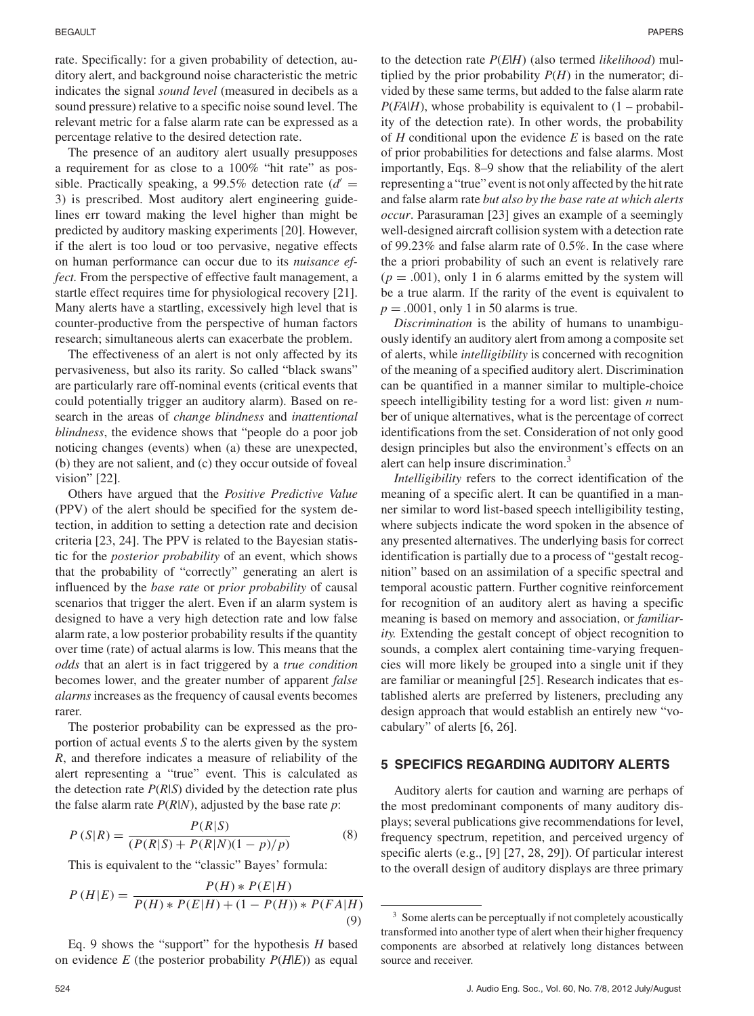rate. Specifically: for a given probability of detection, auditory alert, and background noise characteristic the metric indicates the signal *sound level* (measured in decibels as a sound pressure) relative to a specific noise sound level. The relevant metric for a false alarm rate can be expressed as a percentage relative to the desired detection rate.

The presence of an auditory alert usually presupposes a requirement for as close to a 100% "hit rate" as possible. Practically speaking, a 99.5% detection rate  $(d)$ 3) is prescribed. Most auditory alert engineering guidelines err toward making the level higher than might be predicted by auditory masking experiments [20]. However, if the alert is too loud or too pervasive, negative effects on human performance can occur due to its *nuisance effect.* From the perspective of effective fault management, a startle effect requires time for physiological recovery [21]. Many alerts have a startling, excessively high level that is counter-productive from the perspective of human factors research; simultaneous alerts can exacerbate the problem.

The effectiveness of an alert is not only affected by its pervasiveness, but also its rarity. So called "black swans" are particularly rare off-nominal events (critical events that could potentially trigger an auditory alarm). Based on research in the areas of *change blindness* and *inattentional blindness*, the evidence shows that "people do a poor job noticing changes (events) when (a) these are unexpected, (b) they are not salient, and (c) they occur outside of foveal vision" [22].

Others have argued that the *Positive Predictive Value* (PPV) of the alert should be specified for the system detection, in addition to setting a detection rate and decision criteria [23, 24]. The PPV is related to the Bayesian statistic for the *posterior probability* of an event, which shows that the probability of "correctly" generating an alert is influenced by the *base rate* or *prior probability* of causal scenarios that trigger the alert. Even if an alarm system is designed to have a very high detection rate and low false alarm rate, a low posterior probability results if the quantity over time (rate) of actual alarms is low. This means that the *odds* that an alert is in fact triggered by a *true condition* becomes lower, and the greater number of apparent *false alarms* increases as the frequency of causal events becomes rarer.

The posterior probability can be expressed as the proportion of actual events *S* to the alerts given by the system *R*, and therefore indicates a measure of reliability of the alert representing a "true" event. This is calculated as the detection rate *P*(*R|S*) divided by the detection rate plus the false alarm rate  $P(R|N)$ , adjusted by the base rate  $p$ :

$$
P(S|R) = \frac{P(R|S)}{(P(R|S) + P(R|N)(1 - p)/p)}
$$
(8)

This is equivalent to the "classic" Bayes' formula:

$$
P(H|E) = \frac{P(H) * P(E|H)}{P(H) * P(E|H) + (1 - P(H)) * P(FA|H)}
$$
\n(9)

Eq. 9 shows the "support" for the hypothesis *H* based on evidence  $E$  (the posterior probability  $P(H|E)$ ) as equal to the detection rate *P*(*E*|*H*) (also termed *likelihood*) multiplied by the prior probability *P*(*H*) in the numerator; divided by these same terms, but added to the false alarm rate  $P$ (*FA*|*H*), whose probability is equivalent to  $(1 -$  probability of the detection rate). In other words, the probability of *H* conditional upon the evidence *E* is based on the rate of prior probabilities for detections and false alarms. Most importantly, Eqs. 8–9 show that the reliability of the alert representing a "true" event is not only affected by the hit rate and false alarm rate *but also by the base rate at which alerts occur*. Parasuraman [23] gives an example of a seemingly well-designed aircraft collision system with a detection rate of 99.23% and false alarm rate of 0.5%. In the case where the a priori probability of such an event is relatively rare  $(p = .001)$ , only 1 in 6 alarms emitted by the system will be a true alarm. If the rarity of the event is equivalent to *p* = *.*0001, only 1 in 50 alarms is true.

*Discrimination* is the ability of humans to unambiguously identify an auditory alert from among a composite set of alerts, while *intelligibility* is concerned with recognition of the meaning of a specified auditory alert. Discrimination can be quantified in a manner similar to multiple-choice speech intelligibility testing for a word list: given *n* number of unique alternatives, what is the percentage of correct identifications from the set. Consideration of not only good design principles but also the environment's effects on an alert can help insure discrimination.<sup>3</sup>

*Intelligibility* refers to the correct identification of the meaning of a specific alert. It can be quantified in a manner similar to word list-based speech intelligibility testing, where subjects indicate the word spoken in the absence of any presented alternatives. The underlying basis for correct identification is partially due to a process of "gestalt recognition" based on an assimilation of a specific spectral and temporal acoustic pattern. Further cognitive reinforcement for recognition of an auditory alert as having a specific meaning is based on memory and association, or *familiarity.* Extending the gestalt concept of object recognition to sounds, a complex alert containing time-varying frequencies will more likely be grouped into a single unit if they are familiar or meaningful [25]. Research indicates that established alerts are preferred by listeners, precluding any design approach that would establish an entirely new "vocabulary" of alerts [6, 26].

#### **5 SPECIFICS REGARDING AUDITORY ALERTS**

Auditory alerts for caution and warning are perhaps of the most predominant components of many auditory displays; several publications give recommendations for level, frequency spectrum, repetition, and perceived urgency of specific alerts (e.g., [9] [27, 28, 29]). Of particular interest to the overall design of auditory displays are three primary

<sup>&</sup>lt;sup>3</sup> Some alerts can be perceptually if not completely acoustically transformed into another type of alert when their higher frequency components are absorbed at relatively long distances between source and receiver.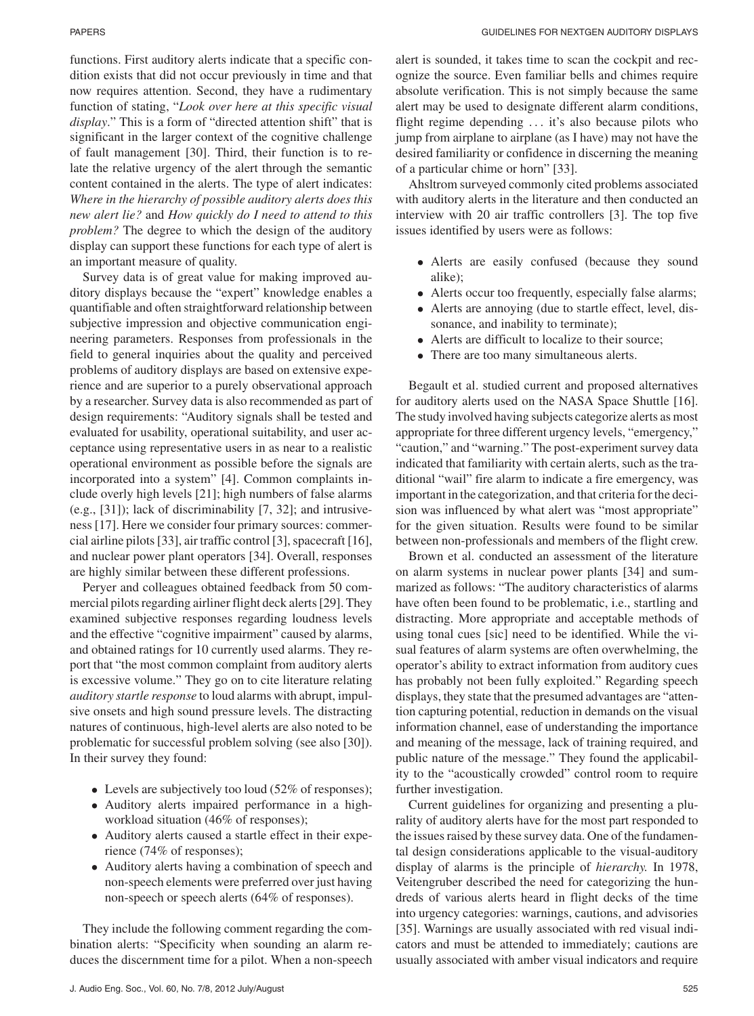functions. First auditory alerts indicate that a specific condition exists that did not occur previously in time and that now requires attention. Second, they have a rudimentary function of stating, "*Look over here at this specific visual display*." This is a form of "directed attention shift" that is significant in the larger context of the cognitive challenge of fault management [30]. Third, their function is to relate the relative urgency of the alert through the semantic content contained in the alerts. The type of alert indicates: *Where in the hierarchy of possible auditory alerts does this new alert lie?* and *How quickly do I need to attend to this problem?* The degree to which the design of the auditory display can support these functions for each type of alert is an important measure of quality.

Survey data is of great value for making improved auditory displays because the "expert" knowledge enables a quantifiable and often straightforward relationship between subjective impression and objective communication engineering parameters. Responses from professionals in the field to general inquiries about the quality and perceived problems of auditory displays are based on extensive experience and are superior to a purely observational approach by a researcher. Survey data is also recommended as part of design requirements: "Auditory signals shall be tested and evaluated for usability, operational suitability, and user acceptance using representative users in as near to a realistic operational environment as possible before the signals are incorporated into a system" [4]. Common complaints include overly high levels [21]; high numbers of false alarms (e.g., [31]); lack of discriminability [7, 32]; and intrusiveness [17]. Here we consider four primary sources: commercial airline pilots [33], air traffic control [3], spacecraft [16], and nuclear power plant operators [34]. Overall, responses are highly similar between these different professions.

Peryer and colleagues obtained feedback from 50 commercial pilots regarding airliner flight deck alerts [29]. They examined subjective responses regarding loudness levels and the effective "cognitive impairment" caused by alarms, and obtained ratings for 10 currently used alarms. They report that "the most common complaint from auditory alerts is excessive volume." They go on to cite literature relating *auditory startle response* to loud alarms with abrupt, impulsive onsets and high sound pressure levels. The distracting natures of continuous, high-level alerts are also noted to be problematic for successful problem solving (see also [30]). In their survey they found:

- Levels are subjectively too loud (52% of responses);
- Auditory alerts impaired performance in a highworkload situation (46% of responses);
- Auditory alerts caused a startle effect in their experience (74% of responses);
- Auditory alerts having a combination of speech and non-speech elements were preferred over just having non-speech or speech alerts (64% of responses).

They include the following comment regarding the combination alerts: "Specificity when sounding an alarm reduces the discernment time for a pilot. When a non-speech

alert is sounded, it takes time to scan the cockpit and recognize the source. Even familiar bells and chimes require absolute verification. This is not simply because the same alert may be used to designate different alarm conditions, flight regime depending ... it's also because pilots who jump from airplane to airplane (as I have) may not have the desired familiarity or confidence in discerning the meaning of a particular chime or horn" [33].

Ahsltrom surveyed commonly cited problems associated with auditory alerts in the literature and then conducted an interview with 20 air traffic controllers [3]. The top five issues identified by users were as follows:

- Alerts are easily confused (because they sound alike);
- Alerts occur too frequently, especially false alarms;
- Alerts are annoying (due to startle effect, level, dissonance, and inability to terminate);
- Alerts are difficult to localize to their source;
- There are too many simultaneous alerts.

Begault et al. studied current and proposed alternatives for auditory alerts used on the NASA Space Shuttle [16]. The study involved having subjects categorize alerts as most appropriate for three different urgency levels, "emergency," "caution," and "warning." The post-experiment survey data indicated that familiarity with certain alerts, such as the traditional "wail" fire alarm to indicate a fire emergency, was important in the categorization, and that criteria for the decision was influenced by what alert was "most appropriate" for the given situation. Results were found to be similar between non-professionals and members of the flight crew.

Brown et al. conducted an assessment of the literature on alarm systems in nuclear power plants [34] and summarized as follows: "The auditory characteristics of alarms have often been found to be problematic, i.e., startling and distracting. More appropriate and acceptable methods of using tonal cues [sic] need to be identified. While the visual features of alarm systems are often overwhelming, the operator's ability to extract information from auditory cues has probably not been fully exploited." Regarding speech displays, they state that the presumed advantages are "attention capturing potential, reduction in demands on the visual information channel, ease of understanding the importance and meaning of the message, lack of training required, and public nature of the message." They found the applicability to the "acoustically crowded" control room to require further investigation.

Current guidelines for organizing and presenting a plurality of auditory alerts have for the most part responded to the issues raised by these survey data. One of the fundamental design considerations applicable to the visual-auditory display of alarms is the principle of *hierarchy.* In 1978, Veitengruber described the need for categorizing the hundreds of various alerts heard in flight decks of the time into urgency categories: warnings, cautions, and advisories [35]. Warnings are usually associated with red visual indicators and must be attended to immediately; cautions are usually associated with amber visual indicators and require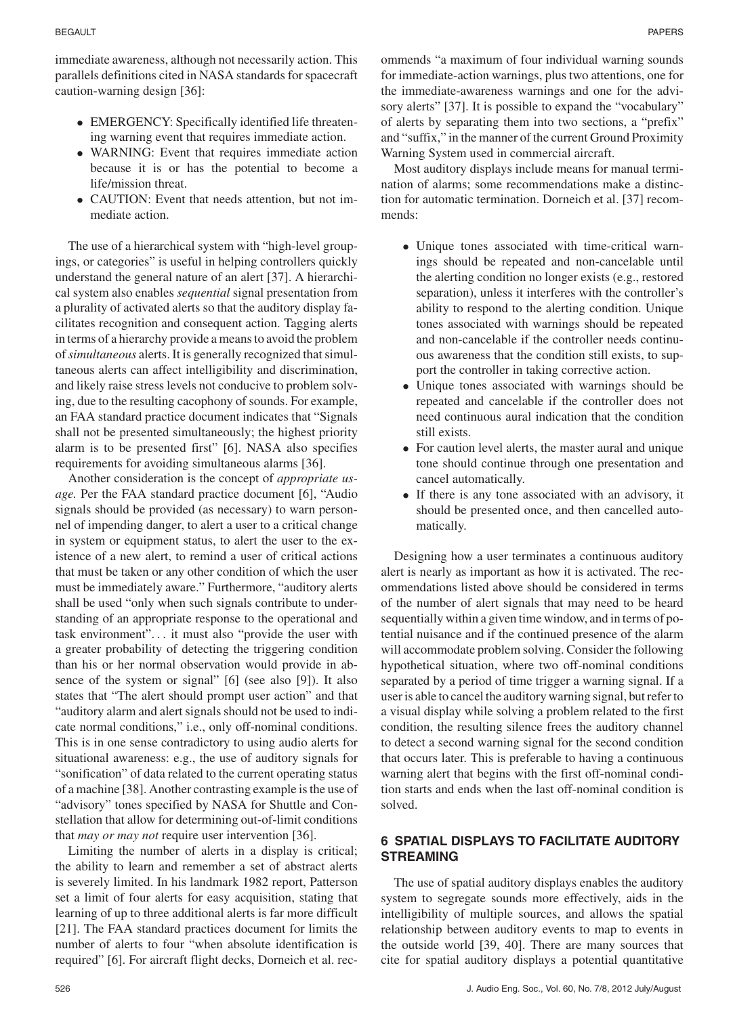immediate awareness, although not necessarily action. This parallels definitions cited in NASA standards for spacecraft caution-warning design [36]:

- EMERGENCY: Specifically identified life threatening warning event that requires immediate action.
- WARNING: Event that requires immediate action because it is or has the potential to become a life/mission threat.
- CAUTION: Event that needs attention, but not immediate action.

The use of a hierarchical system with "high-level groupings, or categories" is useful in helping controllers quickly understand the general nature of an alert [37]. A hierarchical system also enables *sequential* signal presentation from a plurality of activated alerts so that the auditory display facilitates recognition and consequent action. Tagging alerts in terms of a hierarchy provide a means to avoid the problem of*simultaneous* alerts. It is generally recognized that simultaneous alerts can affect intelligibility and discrimination, and likely raise stress levels not conducive to problem solving, due to the resulting cacophony of sounds. For example, an FAA standard practice document indicates that "Signals shall not be presented simultaneously; the highest priority alarm is to be presented first" [6]. NASA also specifies requirements for avoiding simultaneous alarms [36].

Another consideration is the concept of *appropriate usage.* Per the FAA standard practice document [6], "Audio signals should be provided (as necessary) to warn personnel of impending danger, to alert a user to a critical change in system or equipment status, to alert the user to the existence of a new alert, to remind a user of critical actions that must be taken or any other condition of which the user must be immediately aware." Furthermore, "auditory alerts shall be used "only when such signals contribute to understanding of an appropriate response to the operational and task environment"... it must also "provide the user with a greater probability of detecting the triggering condition than his or her normal observation would provide in absence of the system or signal" [6] (see also [9]). It also states that "The alert should prompt user action" and that "auditory alarm and alert signals should not be used to indicate normal conditions," i.e., only off-nominal conditions. This is in one sense contradictory to using audio alerts for situational awareness: e.g., the use of auditory signals for "sonification" of data related to the current operating status of a machine [38]. Another contrasting example is the use of "advisory" tones specified by NASA for Shuttle and Constellation that allow for determining out-of-limit conditions that *may or may not* require user intervention [36].

Limiting the number of alerts in a display is critical; the ability to learn and remember a set of abstract alerts is severely limited. In his landmark 1982 report, Patterson set a limit of four alerts for easy acquisition, stating that learning of up to three additional alerts is far more difficult [21]. The FAA standard practices document for limits the number of alerts to four "when absolute identification is required" [6]. For aircraft flight decks, Dorneich et al. recommends "a maximum of four individual warning sounds for immediate-action warnings, plus two attentions, one for the immediate-awareness warnings and one for the advisory alerts" [37]. It is possible to expand the "vocabulary" of alerts by separating them into two sections, a "prefix" and "suffix," in the manner of the current Ground Proximity Warning System used in commercial aircraft.

Most auditory displays include means for manual termination of alarms; some recommendations make a distinction for automatic termination. Dorneich et al. [37] recommends:

- Unique tones associated with time-critical warnings should be repeated and non-cancelable until the alerting condition no longer exists (e.g., restored separation), unless it interferes with the controller's ability to respond to the alerting condition. Unique tones associated with warnings should be repeated and non-cancelable if the controller needs continuous awareness that the condition still exists, to support the controller in taking corrective action.
- Unique tones associated with warnings should be repeated and cancelable if the controller does not need continuous aural indication that the condition still exists.
- For caution level alerts, the master aural and unique tone should continue through one presentation and cancel automatically.
- If there is any tone associated with an advisory, it should be presented once, and then cancelled automatically.

Designing how a user terminates a continuous auditory alert is nearly as important as how it is activated. The recommendations listed above should be considered in terms of the number of alert signals that may need to be heard sequentially within a given time window, and in terms of potential nuisance and if the continued presence of the alarm will accommodate problem solving. Consider the following hypothetical situation, where two off-nominal conditions separated by a period of time trigger a warning signal. If a user is able to cancel the auditory warning signal, but refer to a visual display while solving a problem related to the first condition, the resulting silence frees the auditory channel to detect a second warning signal for the second condition that occurs later. This is preferable to having a continuous warning alert that begins with the first off-nominal condition starts and ends when the last off-nominal condition is solved.

# **6 SPATIAL DISPLAYS TO FACILITATE AUDITORY STREAMING**

The use of spatial auditory displays enables the auditory system to segregate sounds more effectively, aids in the intelligibility of multiple sources, and allows the spatial relationship between auditory events to map to events in the outside world [39, 40]. There are many sources that cite for spatial auditory displays a potential quantitative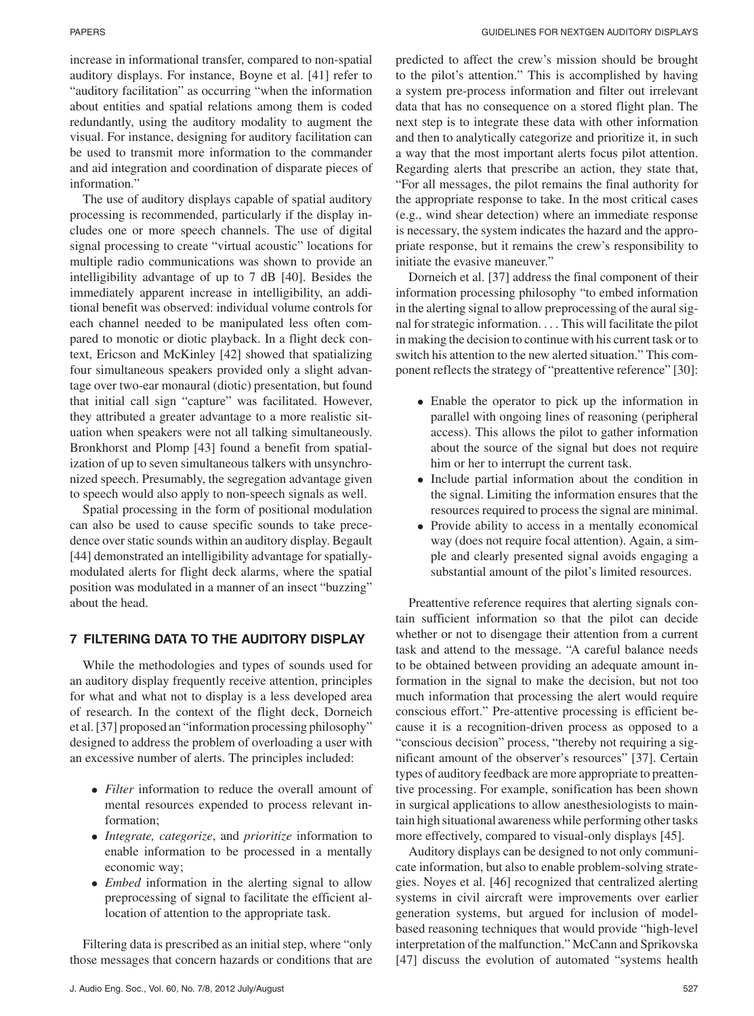increase in informational transfer, compared to non-spatial auditory displays. For instance, Boyne et al. [41] refer to "auditory facilitation" as occurring "when the information about entities and spatial relations among them is coded redundantly, using the auditory modality to augment the visual. For instance, designing for auditory facilitation can be used to transmit more information to the commander and aid integration and coordination of disparate pieces of information."

The use of auditory displays capable of spatial auditory processing is recommended, particularly if the display includes one or more speech channels. The use of digital signal processing to create "virtual acoustic" locations for multiple radio communications was shown to provide an intelligibility advantage of up to 7 dB [40]. Besides the immediately apparent increase in intelligibility, an additional benefit was observed: individual volume controls for each channel needed to be manipulated less often compared to monotic or diotic playback. In a flight deck context, Ericson and McKinley [42] showed that spatializing four simultaneous speakers provided only a slight advantage over two-ear monaural (diotic) presentation, but found that initial call sign "capture" was facilitated. However, they attributed a greater advantage to a more realistic situation when speakers were not all talking simultaneously. Bronkhorst and Plomp [43] found a benefit from spatialization of up to seven simultaneous talkers with unsynchronized speech. Presumably, the segregation advantage given to speech would also apply to non-speech signals as well.

Spatial processing in the form of positional modulation can also be used to cause specific sounds to take precedence over static sounds within an auditory display. Begault [44] demonstrated an intelligibility advantage for spatiallymodulated alerts for flight deck alarms, where the spatial position was modulated in a manner of an insect "buzzing" about the head.

# **7 FILTERING DATA TO THE AUDITORY DISPLAY**

While the methodologies and types of sounds used for an auditory display frequently receive attention, principles for what and what not to display is a less developed area of research. In the context of the flight deck, Dorneich et al. [37] proposed an "information processing philosophy" designed to address the problem of overloading a user with an excessive number of alerts. The principles included:

- *Filter* information to reduce the overall amount of mental resources expended to process relevant information;
- *Integrate, categorize*, and *prioritize* information to enable information to be processed in a mentally economic way;
- *Embed* information in the alerting signal to allow preprocessing of signal to facilitate the efficient allocation of attention to the appropriate task.

Filtering data is prescribed as an initial step, where "only those messages that concern hazards or conditions that are

predicted to affect the crew's mission should be brought to the pilot's attention." This is accomplished by having a system pre-process information and filter out irrelevant data that has no consequence on a stored flight plan. The next step is to integrate these data with other information and then to analytically categorize and prioritize it, in such a way that the most important alerts focus pilot attention. Regarding alerts that prescribe an action, they state that, "For all messages, the pilot remains the final authority for the appropriate response to take. In the most critical cases (e.g., wind shear detection) where an immediate response is necessary, the system indicates the hazard and the appropriate response, but it remains the crew's responsibility to initiate the evasive maneuver."

Dorneich et al. [37] address the final component of their information processing philosophy "to embed information in the alerting signal to allow preprocessing of the aural signal for strategic information. ... This will facilitate the pilot in making the decision to continue with his current task or to switch his attention to the new alerted situation." This component reflects the strategy of "preattentive reference" [30]:

- Enable the operator to pick up the information in parallel with ongoing lines of reasoning (peripheral access). This allows the pilot to gather information about the source of the signal but does not require him or her to interrupt the current task.
- Include partial information about the condition in the signal. Limiting the information ensures that the resources required to process the signal are minimal.
- Provide ability to access in a mentally economical way (does not require focal attention). Again, a simple and clearly presented signal avoids engaging a substantial amount of the pilot's limited resources.

Preattentive reference requires that alerting signals contain sufficient information so that the pilot can decide whether or not to disengage their attention from a current task and attend to the message. "A careful balance needs to be obtained between providing an adequate amount information in the signal to make the decision, but not too much information that processing the alert would require conscious effort." Pre-attentive processing is efficient because it is a recognition-driven process as opposed to a "conscious decision" process, "thereby not requiring a significant amount of the observer's resources" [37]. Certain types of auditory feedback are more appropriate to preattentive processing. For example, sonification has been shown in surgical applications to allow anesthesiologists to maintain high situational awareness while performing other tasks more effectively, compared to visual-only displays [45].

Auditory displays can be designed to not only communicate information, but also to enable problem-solving strategies. Noyes et al. [46] recognized that centralized alerting systems in civil aircraft were improvements over earlier generation systems, but argued for inclusion of modelbased reasoning techniques that would provide "high-level interpretation of the malfunction." McCann and Sprikovska [47] discuss the evolution of automated "systems health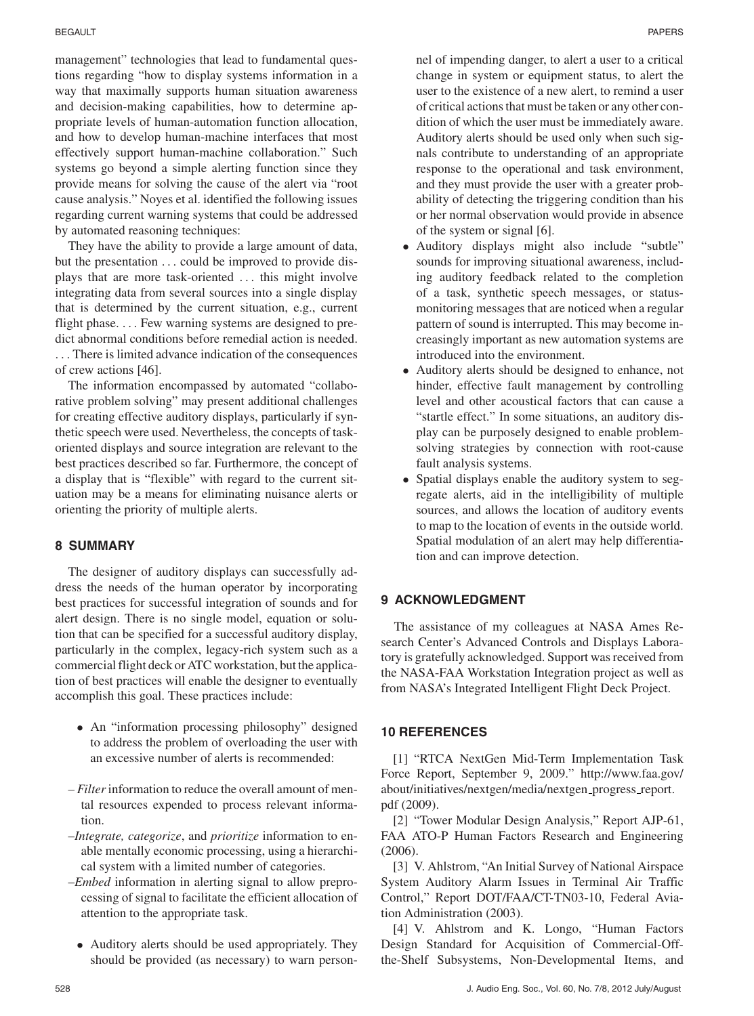#### BEGAULT PAPERS

management" technologies that lead to fundamental questions regarding "how to display systems information in a way that maximally supports human situation awareness and decision-making capabilities, how to determine appropriate levels of human-automation function allocation, and how to develop human-machine interfaces that most effectively support human-machine collaboration." Such systems go beyond a simple alerting function since they provide means for solving the cause of the alert via "root cause analysis." Noyes et al. identified the following issues regarding current warning systems that could be addressed by automated reasoning techniques:

They have the ability to provide a large amount of data, but the presentation ... could be improved to provide displays that are more task-oriented ... this might involve integrating data from several sources into a single display that is determined by the current situation, e.g., current flight phase. ... Few warning systems are designed to predict abnormal conditions before remedial action is needed. ... There is limited advance indication of the consequences of crew actions [46].

The information encompassed by automated "collaborative problem solving" may present additional challenges for creating effective auditory displays, particularly if synthetic speech were used. Nevertheless, the concepts of taskoriented displays and source integration are relevant to the best practices described so far. Furthermore, the concept of a display that is "flexible" with regard to the current situation may be a means for eliminating nuisance alerts or orienting the priority of multiple alerts.

# **8 SUMMARY**

The designer of auditory displays can successfully address the needs of the human operator by incorporating best practices for successful integration of sounds and for alert design. There is no single model, equation or solution that can be specified for a successful auditory display, particularly in the complex, legacy-rich system such as a commercial flight deck or ATC workstation, but the application of best practices will enable the designer to eventually accomplish this goal. These practices include:

- An "information processing philosophy" designed to address the problem of overloading the user with an excessive number of alerts is recommended:
- *Filter*information to reduce the overall amount of mental resources expended to process relevant information.
- –*Integrate, categorize*, and *prioritize* information to enable mentally economic processing, using a hierarchical system with a limited number of categories.
- –*Embed* information in alerting signal to allow preprocessing of signal to facilitate the efficient allocation of attention to the appropriate task.
	- Auditory alerts should be used appropriately. They should be provided (as necessary) to warn person-

nel of impending danger, to alert a user to a critical change in system or equipment status, to alert the user to the existence of a new alert, to remind a user of critical actions that must be taken or any other condition of which the user must be immediately aware. Auditory alerts should be used only when such signals contribute to understanding of an appropriate response to the operational and task environment, and they must provide the user with a greater probability of detecting the triggering condition than his or her normal observation would provide in absence of the system or signal [6].

- Auditory displays might also include "subtle" sounds for improving situational awareness, including auditory feedback related to the completion of a task, synthetic speech messages, or statusmonitoring messages that are noticed when a regular pattern of sound is interrupted. This may become increasingly important as new automation systems are introduced into the environment.
- Auditory alerts should be designed to enhance, not hinder, effective fault management by controlling level and other acoustical factors that can cause a "startle effect." In some situations, an auditory display can be purposely designed to enable problemsolving strategies by connection with root-cause fault analysis systems.
- Spatial displays enable the auditory system to segregate alerts, aid in the intelligibility of multiple sources, and allows the location of auditory events to map to the location of events in the outside world. Spatial modulation of an alert may help differentiation and can improve detection.

# **9 ACKNOWLEDGMENT**

The assistance of my colleagues at NASA Ames Research Center's Advanced Controls and Displays Laboratory is gratefully acknowledged. Support was received from the NASA-FAA Workstation Integration project as well as from NASA's Integrated Intelligent Flight Deck Project.

# **10 REFERENCES**

[1] "RTCA NextGen Mid-Term Implementation Task Force Report, September 9, 2009." http://www.faa.gov/ about/initiatives/nextgen/media/nextgen progress report. pdf (2009).

[2] "Tower Modular Design Analysis," Report AJP-61, FAA ATO-P Human Factors Research and Engineering (2006).

[3] V. Ahlstrom, "An Initial Survey of National Airspace System Auditory Alarm Issues in Terminal Air Traffic Control," Report DOT/FAA/CT-TN03-10, Federal Aviation Administration (2003).

[4] V. Ahlstrom and K. Longo, "Human Factors Design Standard for Acquisition of Commercial-Offthe-Shelf Subsystems, Non-Developmental Items, and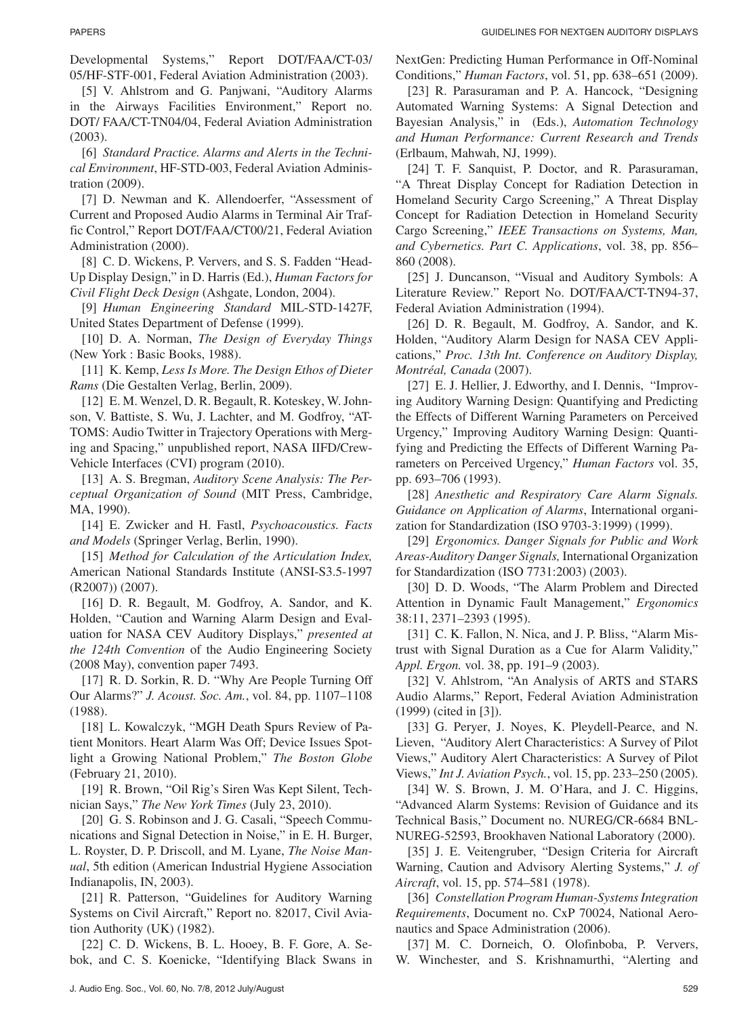[5] V. Ahlstrom and G. Panjwani, "Auditory Alarms in the Airways Facilities Environment," Report no. DOT/ FAA/CT-TN04/04, Federal Aviation Administration (2003).

[6] *Standard Practice. Alarms and Alerts in the Technical Environment*, HF-STD-003, Federal Aviation Administration (2009).

[7] D. Newman and K. Allendoerfer, "Assessment of Current and Proposed Audio Alarms in Terminal Air Traffic Control," Report DOT/FAA/CT00/21, Federal Aviation Administration (2000).

[8] C. D. Wickens, P. Ververs, and S. S. Fadden "Head-Up Display Design," in D. Harris (Ed.), *Human Factors for Civil Flight Deck Design* (Ashgate, London, 2004).

[9] *Human Engineering Standard* MIL-STD-1427F, United States Department of Defense (1999).

[10] D. A. Norman, *The Design of Everyday Things* (New York : Basic Books, 1988).

[11] K. Kemp, *Less Is More. The Design Ethos of Dieter Rams* (Die Gestalten Verlag, Berlin, 2009).

[12] E. M. Wenzel, D. R. Begault, R. Koteskey, W. Johnson, V. Battiste, S. Wu, J. Lachter, and M. Godfroy, "AT-TOMS: Audio Twitter in Trajectory Operations with Merging and Spacing," unpublished report, NASA IIFD/Crew-Vehicle Interfaces (CVI) program (2010).

[13] A. S. Bregman, *Auditory Scene Analysis: The Perceptual Organization of Sound* (MIT Press, Cambridge, MA, 1990).

[14] E. Zwicker and H. Fastl, *Psychoacoustics. Facts and Models* (Springer Verlag, Berlin, 1990).

[15] *Method for Calculation of the Articulation Index,* American National Standards Institute (ANSI-S3.5-1997 (R2007)) (2007).

[16] D. R. Begault, M. Godfroy, A. Sandor, and K. Holden, "Caution and Warning Alarm Design and Evaluation for NASA CEV Auditory Displays," *presented at the 124th Convention* of the Audio Engineering Society (2008 May), convention paper 7493.

[17] R. D. Sorkin, R. D. "Why Are People Turning Off Our Alarms?" *J. Acoust. Soc. Am.*, vol. 84, pp. 1107–1108 (1988).

[18] L. Kowalczyk, "MGH Death Spurs Review of Patient Monitors. Heart Alarm Was Off; Device Issues Spotlight a Growing National Problem," *The Boston Globe* (February 21, 2010).

[19] R. Brown, "Oil Rig's Siren Was Kept Silent, Technician Says," *The New York Times* (July 23, 2010).

[20] G. S. Robinson and J. G. Casali, "Speech Communications and Signal Detection in Noise," in E. H. Burger, L. Royster, D. P. Driscoll, and M. Lyane, *The Noise Manual*, 5th edition (American Industrial Hygiene Association Indianapolis, IN, 2003).

[21] R. Patterson, "Guidelines for Auditory Warning Systems on Civil Aircraft," Report no. 82017, Civil Aviation Authority (UK) (1982).

[22] C. D. Wickens, B. L. Hooey, B. F. Gore, A. Sebok, and C. S. Koenicke, "Identifying Black Swans in NextGen: Predicting Human Performance in Off-Nominal Conditions," *Human Factors*, vol. 51, pp. 638–651 (2009).

[23] R. Parasuraman and P. A. Hancock, "Designing Automated Warning Systems: A Signal Detection and Bayesian Analysis," in (Eds.), *Automation Technology and Human Performance: Current Research and Trends* (Erlbaum, Mahwah, NJ, 1999).

[24] T. F. Sanquist, P. Doctor, and R. Parasuraman, "A Threat Display Concept for Radiation Detection in Homeland Security Cargo Screening," A Threat Display Concept for Radiation Detection in Homeland Security Cargo Screening," *IEEE Transactions on Systems, Man, and Cybernetics. Part C. Applications*, vol. 38, pp. 856– 860 (2008).

[25] J. Duncanson, "Visual and Auditory Symbols: A Literature Review." Report No. DOT/FAA/CT-TN94-37, Federal Aviation Administration (1994).

[26] D. R. Begault, M. Godfroy, A. Sandor, and K. Holden, "Auditory Alarm Design for NASA CEV Applications," *Proc. 13th Int. Conference on Auditory Display, Montreal, Canada ´* (2007).

[27] E. J. Hellier, J. Edworthy, and I. Dennis, "Improving Auditory Warning Design: Quantifying and Predicting the Effects of Different Warning Parameters on Perceived Urgency," Improving Auditory Warning Design: Quantifying and Predicting the Effects of Different Warning Parameters on Perceived Urgency," *Human Factors* vol. 35, pp. 693–706 (1993).

[28] *Anesthetic and Respiratory Care Alarm Signals. Guidance on Application of Alarms*, International organization for Standardization (ISO 9703-3:1999) (1999).

[29] *Ergonomics. Danger Signals for Public and Work Areas-Auditory Danger Signals,* International Organization for Standardization (ISO 7731:2003) (2003).

[30] D. D. Woods, "The Alarm Problem and Directed Attention in Dynamic Fault Management," *Ergonomics* 38:11, 2371–2393 (1995).

[31] C. K. Fallon, N. Nica, and J. P. Bliss, "Alarm Mistrust with Signal Duration as a Cue for Alarm Validity," *Appl. Ergon.* vol. 38, pp. 191–9 (2003).

[32] V. Ahlstrom, "An Analysis of ARTS and STARS Audio Alarms," Report, Federal Aviation Administration (1999) (cited in [3]).

[33] G. Peryer, J. Noyes, K. Pleydell-Pearce, and N. Lieven, "Auditory Alert Characteristics: A Survey of Pilot Views," Auditory Alert Characteristics: A Survey of Pilot Views," *Int J. Aviation Psych.*, vol. 15, pp. 233–250 (2005).

[34] W. S. Brown, J. M. O'Hara, and J. C. Higgins, "Advanced Alarm Systems: Revision of Guidance and its Technical Basis," Document no. NUREG/CR-6684 BNL-NUREG-52593, Brookhaven National Laboratory (2000).

[35] J. E. Veitengruber, "Design Criteria for Aircraft Warning, Caution and Advisory Alerting Systems," *J. of Aircraft*, vol. 15, pp. 574–581 (1978).

[36] *Constellation Program Human-Systems Integration Requirements*, Document no. CxP 70024, National Aeronautics and Space Administration (2006).

[37] M. C. Dorneich, O. Olofinboba, P. Ververs, W. Winchester, and S. Krishnamurthi, "Alerting and